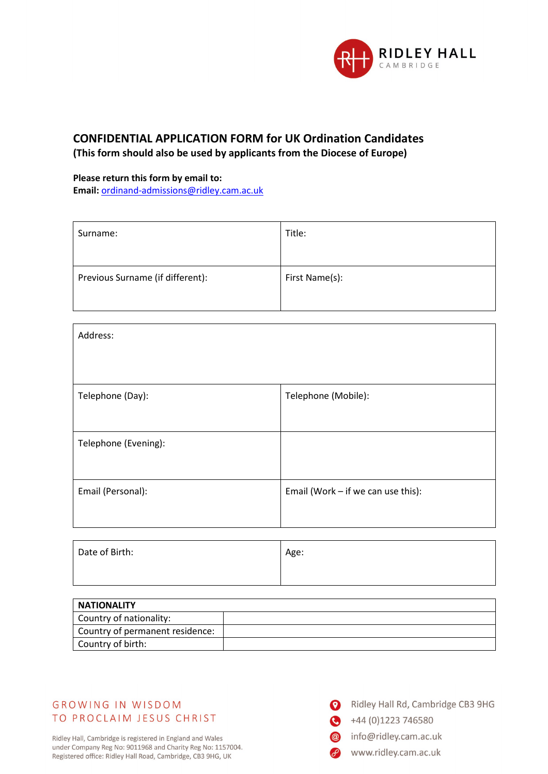

# **CONFIDENTIAL APPLICATION FORM for UK Ordination Candidates (This form should also be used by applicants from the Diocese of Europe)**

#### **Please return this form by email to:**

**Email:** [ordinand-admissions@ridley.cam.ac.uk](mailto:ordinand-admissions@ridley.cam.ac.uk)

| Surname:                         | Title:         |
|----------------------------------|----------------|
|                                  |                |
| Previous Surname (if different): | First Name(s): |
|                                  |                |

| Address:             |                                    |
|----------------------|------------------------------------|
| Telephone (Day):     | Telephone (Mobile):                |
|                      |                                    |
| Telephone (Evening): |                                    |
|                      |                                    |
| Email (Personal):    | Email (Work - if we can use this): |
|                      |                                    |

| Date of Birth: | Age: |
|----------------|------|
|                |      |

| <b>NATIONALITY</b>              |  |
|---------------------------------|--|
| Country of nationality:         |  |
| Country of permanent residence: |  |
| Country of birth:               |  |

## **GROWING IN WISDOM** TO PROCLAIM JESUS CHRIST

Ridley Hall, Cambridge is registered in England and Wales under Company Reg No: 9011968 and Charity Reg No: 1157004. Registered office: Ridley Hall Road, Cambridge, CB3 9HG, UK

- Ridley Hall Rd, Cambridge CB3 9HG
- $+44(0)1223746580$ 
	- info@ridley.cam.ac.uk
	- www.ridley.cam.ac.uk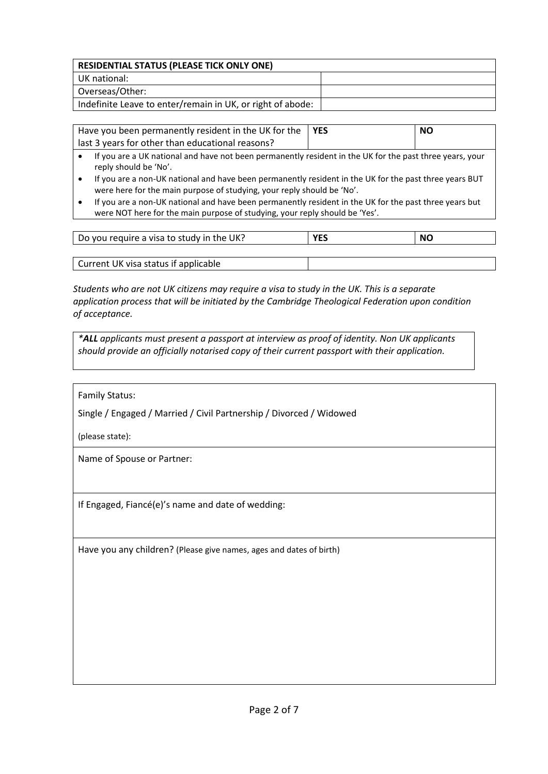| <b>RESIDENTIAL STATUS (PLEASE TICK ONLY ONE)</b>           |  |
|------------------------------------------------------------|--|
| UK national:                                               |  |
| Overseas/Other:                                            |  |
| Indefinite Leave to enter/remain in UK, or right of abode: |  |

Have you been permanently resident in the UK for the last 3 years for other than educational reasons?

**YES** NO

- If you are a UK national and have not been permanently resident in the UK for the past three years, your reply should be 'No'.
- If you are a non-UK national and have been permanently resident in the UK for the past three years BUT were here for the main purpose of studying, your reply should be 'No'.
- If you are a non-UK national and have been permanently resident in the UK for the past three years but were NOT here for the main purpose of studying, your reply should be 'Yes'.

| Do you require a visa to study in the UK? | . <i>.</i> | NC |
|-------------------------------------------|------------|----|
|                                           |            |    |

Current UK visa status if applicable

*Students who are not UK citizens may require a visa to study in the UK. This is a separate application process that will be initiated by the Cambridge Theological Federation upon condition of acceptance.*

*\*ALL applicants must present a passport at interview as proof of identity. Non UK applicants should provide an officially notarised copy of their current passport with their application.*

Family Status:

Single / Engaged / Married / Civil Partnership / Divorced / Widowed

(please state):

Name of Spouse or Partner:

If Engaged, Fiancé(e)'s name and date of wedding:

Have you any children? (Please give names, ages and dates of birth)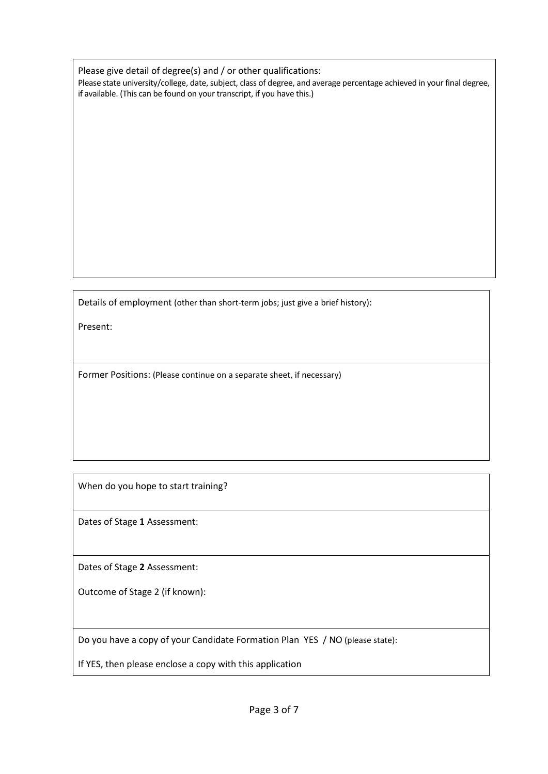Please give detail of degree(s) and / or other qualifications: Please state university/college, date, subject, class of degree, and average percentage achieved in your final degree, if available. (This can be found on your transcript, if you have this.)

Details of employment (other than short-term jobs; just give a brief history):

Present:

Former Positions: (Please continue on a separate sheet, if necessary)

When do you hope to start training?

Dates of Stage **1** Assessment:

Dates of Stage **2** Assessment:

Outcome of Stage 2 (if known):

Do you have a copy of your Candidate Formation Plan YES / NO (please state):

If YES, then please enclose a copy with this application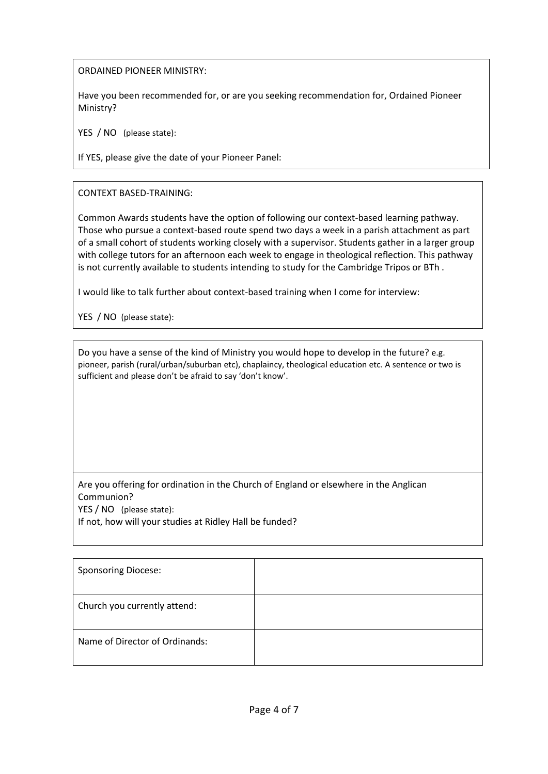ORDAINED PIONEER MINISTRY:

Have you been recommended for, or are you seeking recommendation for, Ordained Pioneer Ministry?

YES / NO (please state):

If YES, please give the date of your Pioneer Panel:

CONTEXT BASED-TRAINING:

Common Awards students have the option of following our context-based learning pathway. Those who pursue a context-based route spend two days a week in a parish attachment as part of a small cohort of students working closely with a supervisor. Students gather in a larger group with college tutors for an afternoon each week to engage in theological reflection. This pathway is not currently available to students intending to study for the Cambridge Tripos or BTh .

I would like to talk further about context-based training when I come for interview:

YES / NO (please state):

Do you have a sense of the kind of Ministry you would hope to develop in the future? e.g. pioneer, parish (rural/urban/suburban etc), chaplaincy, theological education etc. A sentence or two is sufficient and please don't be afraid to say 'don't know'.

Are you offering for ordination in the Church of England or elsewhere in the Anglican Communion? YES / NO (please state):

If not, how will your studies at Ridley Hall be funded?

| <b>Sponsoring Diocese:</b>     |  |
|--------------------------------|--|
| Church you currently attend:   |  |
| Name of Director of Ordinands: |  |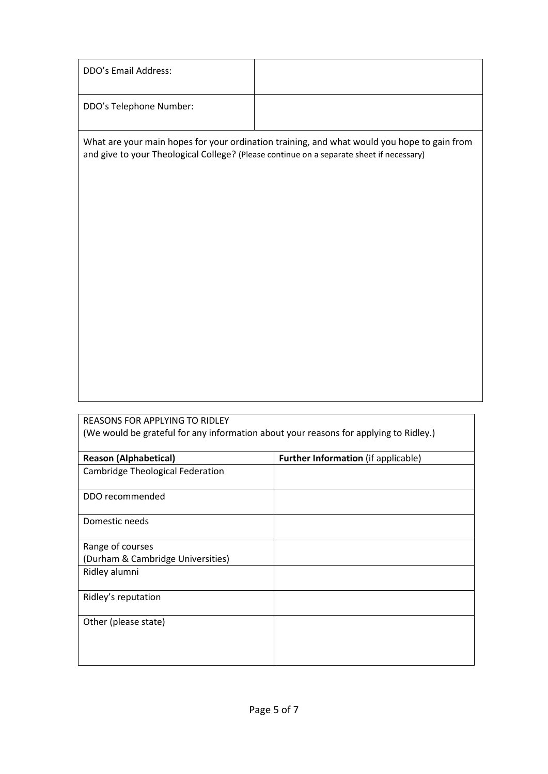| DDO's Email Address:                                                                                                    |                                                                                             |
|-------------------------------------------------------------------------------------------------------------------------|---------------------------------------------------------------------------------------------|
| DDO's Telephone Number:                                                                                                 |                                                                                             |
| and give to your Theological College? (Please continue on a separate sheet if necessary)                                | What are your main hopes for your ordination training, and what would you hope to gain from |
|                                                                                                                         |                                                                                             |
|                                                                                                                         |                                                                                             |
|                                                                                                                         |                                                                                             |
|                                                                                                                         |                                                                                             |
|                                                                                                                         |                                                                                             |
|                                                                                                                         |                                                                                             |
| REASONS FOR APPLYING TO RIDLEY<br>(We would be grateful for any information about your reasons for applying to Ridley.) |                                                                                             |
|                                                                                                                         |                                                                                             |
| <b>Reason (Alphabetical)</b><br>Cambridge Theological Federation                                                        | Further Information (if applicable)                                                         |
| DDO recommended                                                                                                         |                                                                                             |
| Domestic needs                                                                                                          |                                                                                             |
| Range of courses<br>(Durham & Cambridge Universities)                                                                   |                                                                                             |
| Ridley alumni                                                                                                           |                                                                                             |
| Ridley's reputation                                                                                                     |                                                                                             |

Other (please state)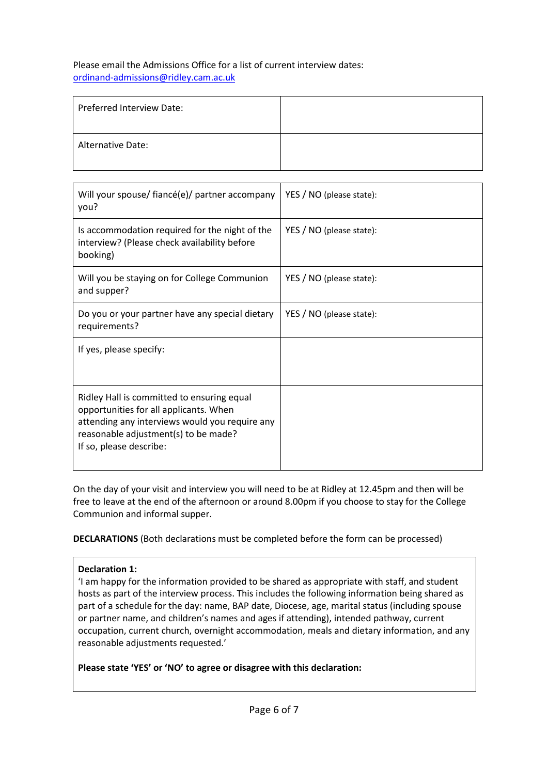Please email the Admissions Office for a list of current interview dates: [ordinand-admissions@ridley.cam.ac.uk](mailto:ordinand-admissions@ridley.cam.ac.uk)

| <b>Preferred Interview Date:</b> |  |
|----------------------------------|--|
| <b>Alternative Date:</b>         |  |

| Will your spouse/ fiancé(e)/ partner accompany<br>you?                                                                                                                                                    | YES / NO (please state): |
|-----------------------------------------------------------------------------------------------------------------------------------------------------------------------------------------------------------|--------------------------|
| Is accommodation required for the night of the<br>interview? (Please check availability before<br>booking)                                                                                                | YES / NO (please state): |
| Will you be staying on for College Communion<br>and supper?                                                                                                                                               | YES / NO (please state): |
| Do you or your partner have any special dietary<br>requirements?                                                                                                                                          | YES / NO (please state): |
| If yes, please specify:                                                                                                                                                                                   |                          |
| Ridley Hall is committed to ensuring equal<br>opportunities for all applicants. When<br>attending any interviews would you require any<br>reasonable adjustment(s) to be made?<br>If so, please describe: |                          |

On the day of your visit and interview you will need to be at Ridley at 12.45pm and then will be free to leave at the end of the afternoon or around 8.00pm if you choose to stay for the College Communion and informal supper.

**DECLARATIONS** (Both declarations must be completed before the form can be processed)

#### **Declaration 1:**

'I am happy for the information provided to be shared as appropriate with staff, and student hosts as part of the interview process. This includes the following information being shared as part of a schedule for the day: name, BAP date, Diocese, age, marital status (including spouse or partner name, and children's names and ages if attending), intended pathway, current occupation, current church, overnight accommodation, meals and dietary information, and any reasonable adjustments requested.'

**Please state 'YES' or 'NO' to agree or disagree with this declaration:**